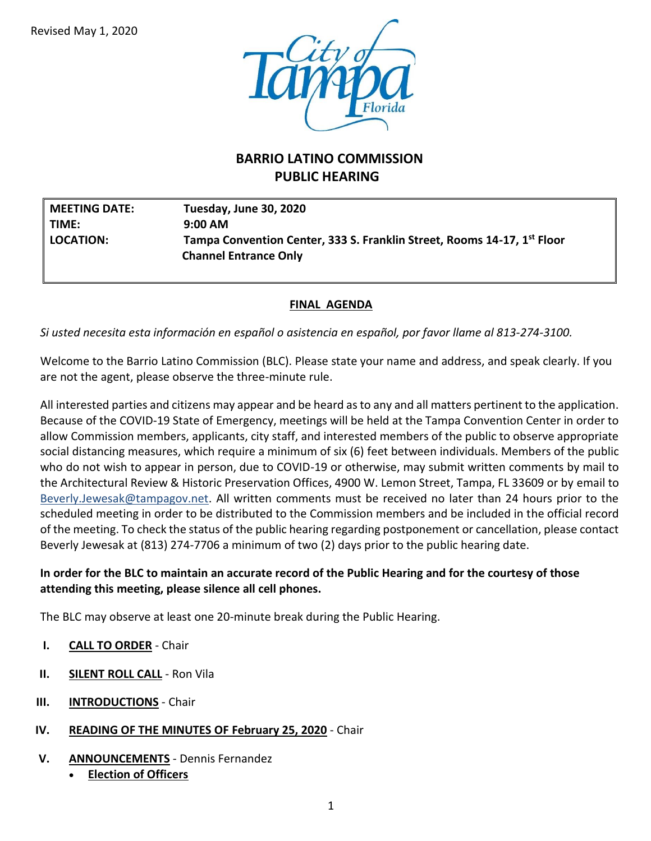

# **BARRIO LATINO COMMISSION PUBLIC HEARING**

| <b>MEETING DATE:</b> | Tuesday, June 30, 2020                                                                                  |
|----------------------|---------------------------------------------------------------------------------------------------------|
| TIME:                | $9:00 \text{ AM}$                                                                                       |
| <b>LOCATION:</b>     | Tampa Convention Center, 333 S. Franklin Street, Rooms 14-17, 1st Floor<br><b>Channel Entrance Only</b> |

## **FINAL AGENDA**

*Si usted necesita esta información en español o asistencia en español, por favor llame al 813-274-3100.*

Welcome to the Barrio Latino Commission (BLC). Please state your name and address, and speak clearly. If you are not the agent, please observe the three-minute rule.

All interested parties and citizens may appear and be heard as to any and all matters pertinent to the application. Because of the COVID-19 State of Emergency, meetings will be held at the Tampa Convention Center in order to allow Commission members, applicants, city staff, and interested members of the public to observe appropriate social distancing measures, which require a minimum of six (6) feet between individuals. Members of the public who do not wish to appear in person, due to COVID-19 or otherwise, may submit written comments by mail to the Architectural Review & Historic Preservation Offices, 4900 W. Lemon Street, Tampa, FL 33609 or by email to [Beverly.Jewesak@tampagov.net.](mailto:Beverly.Jewesak@tampagov.net) All written comments must be received no later than 24 hours prior to the scheduled meeting in order to be distributed to the Commission members and be included in the official record of the meeting. To check the status of the public hearing regarding postponement or cancellation, please contact Beverly Jewesak at (813) 274-7706 a minimum of two (2) days prior to the public hearing date.

### **In order for the BLC to maintain an accurate record of the Public Hearing and for the courtesy of those attending this meeting, please silence all cell phones.**

The BLC may observe at least one 20-minute break during the Public Hearing.

- **I. CALL TO ORDER** Chair
- **II. SILENT ROLL CALL** Ron Vila
- **III. INTRODUCTIONS** Chair
- **IV. READING OF THE MINUTES OF February 25, 2020** Chair
- **V. ANNOUNCEMENTS** Dennis Fernandez
	- **Election of Officers**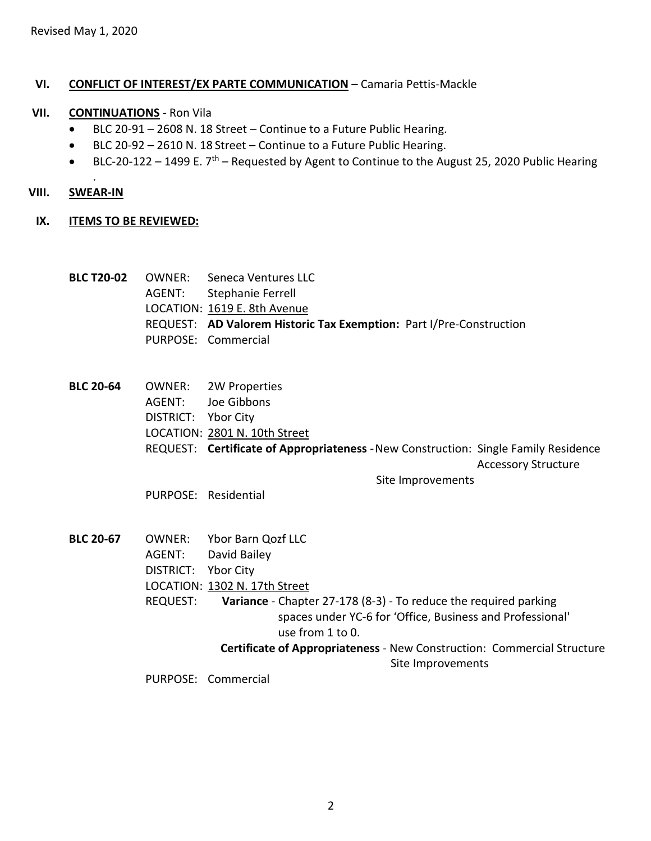#### **VI. CONFLICT OF INTEREST/EX PARTE COMMUNICATION** – Camaria Pettis-Mackle

#### **VII. CONTINUATIONS** - Ron Vila

- BLC 20-91 2608 N. 18 Street Continue to a Future Public Hearing.
- BLC 20-92 2610 N. 18 Street Continue to a Future Public Hearing.
- **BLC-20-122** 1499 E.  $7<sup>th</sup>$  Requested by Agent to Continue to the August 25, 2020 Public Hearing

#### **VIII. SWEAR-IN**

.

#### **IX. ITEMS TO BE REVIEWED:**

|  | <b>BLC T20-02</b> OWNER: Seneca Ventures LLC                        |
|--|---------------------------------------------------------------------|
|  | AGENT: Stephanie Ferrell                                            |
|  | LOCATION: 1619 E. 8th Avenue                                        |
|  | REQUEST: AD Valorem Historic Tax Exemption: Part I/Pre-Construction |
|  | PURPOSE: Commercial                                                 |

**BLC 20-64** OWNER: 2W Properties AGENT: Joe Gibbons DISTRICT: Ybor City LOCATION: 2801 N. 10th Street REQUEST: **Certificate of Appropriateness** -New Construction: Single Family Residence Accessory Structure Site Improvements

PURPOSE: Residential

**BLC 20-67** OWNER: Ybor Barn Qozf LLC AGENT: David Bailey DISTRICT: Ybor City LOCATION: 1302 N. 17th Street REQUEST: **Variance** - Chapter 27-178 (8-3) - To reduce the required parking spaces under YC-6 for 'Office, Business and Professional' use from 1 to 0.  **Certificate of Appropriateness** - New Construction: Commercial Structure Site Improvements

PURPOSE: Commercial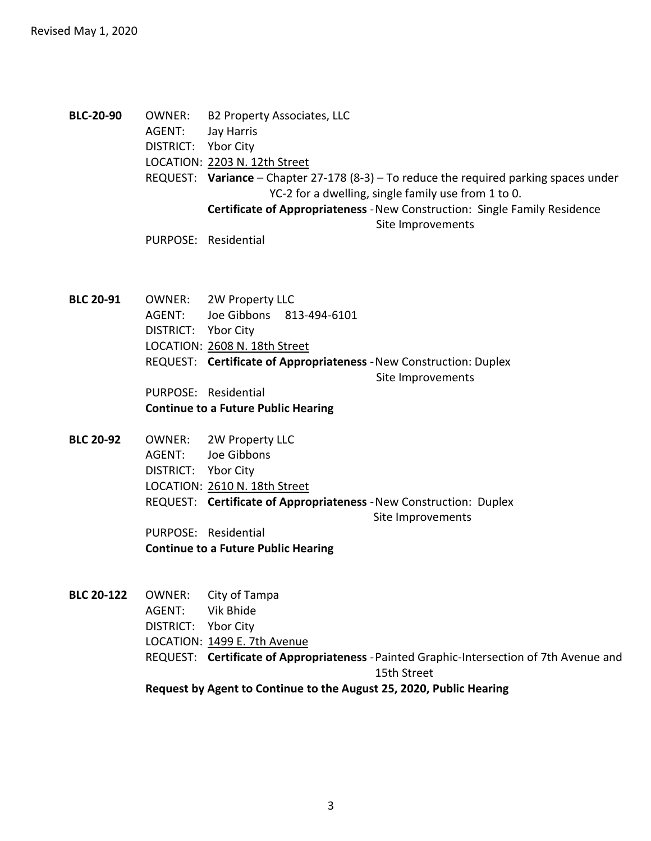**BLC-20-90** OWNER: B2 Property Associates, LLC AGENT: Jay Harris DISTRICT: Ybor City LOCATION: 2203 N. 12th Street REQUEST: **Variance** – Chapter 27-178 (8-3) – To reduce the required parking spaces under YC-2 for a dwelling, single family use from 1 to 0. **Certificate of Appropriateness** -New Construction: Single Family Residence Site Improvements

PURPOSE: Residential

**BLC 20-91** OWNER: 2W Property LLC AGENT: Joe Gibbons 813-494-6101 DISTRICT: Ybor City LOCATION: 2608 N. 18th Street REQUEST: **Certificate of Appropriateness** -New Construction: Duplex Site Improvements PURPOSE: Residential **Continue to a Future Public Hearing**

- **BLC 20-92** OWNER: 2W Property LLC AGENT: Joe Gibbons DISTRICT: Ybor City LOCATION: 2610 N. 18th Street REQUEST: **Certificate of Appropriateness** -New Construction: Duplex Site Improvements PURPOSE: Residential **Continue to a Future Public Hearing**
- **BLC 20-122** OWNER: City of Tampa AGENT: Vik Bhide DISTRICT: Ybor City LOCATION: 1499 E. 7th Avenue REQUEST: **Certificate of Appropriateness** -Painted Graphic-Intersection of 7th Avenue and 15th Street **Request by Agent to Continue to the August 25, 2020, Public Hearing**